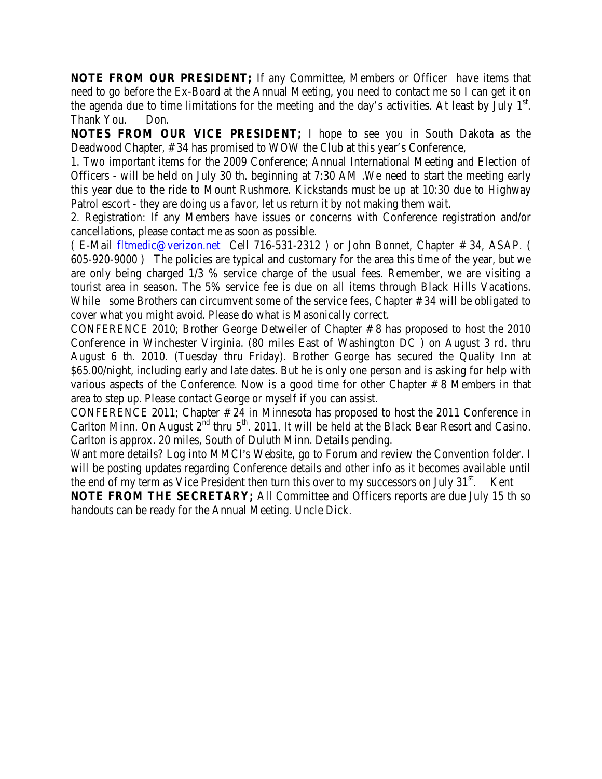**NOTE FROM OUR PRESIDENT;** If any Committee, Members or Officer have items that need to go before the Ex-Board at the Annual Meeting, you need to contact me so I can get it on the agenda due to time limitations for the meeting and the day's activities. At least by July  $1<sup>st</sup>$ . Thank You. Don.

**NOTES FROM OUR VICE PRESIDENT;** I hope to see you in South Dakota as the Deadwood Chapter, # 34 has promised to WOW the Club at this year's Conference,

1. Two important items for the 2009 Conference; Annual International Meeting and Election of Officers - will be held on July 30 th. beginning at 7:30 AM .We need to start the meeting early this year due to the ride to Mount Rushmore. Kickstands must be up at 10:30 due to Highway Patrol escort - they are doing us a favor, let us return it by not making them wait.

2. Registration: If any Members have issues or concerns with Conference registration and/or cancellations, please contact me as soon as possible.

( E-Mail fltmedic@verizon.net Cell 716-531-2312 ) or John Bonnet, Chapter # 34, ASAP. ( 605-920-9000 ) The policies are typical and customary for the area this time of the year, but we are only being charged 1/3 % service charge of the usual fees. Remember, we are visiting a tourist area in season. The 5% service fee is due on all items through Black Hills Vacations. While some Brothers can circumvent some of the service fees, Chapter #34 will be obligated to cover what you might avoid. Please do what is Masonically correct.

CONFERENCE 2010; Brother George Detweiler of Chapter # 8 has proposed to host the 2010 Conference in Winchester Virginia. (80 miles East of Washington DC ) on August 3 rd. thru August 6 th. 2010. (Tuesday thru Friday). Brother George has secured the Quality Inn at \$65.00/night, including early and late dates. But he is only one person and is asking for help with various aspects of the Conference. Now is a good time for other Chapter # 8 Members in that area to step up. Please contact George or myself if you can assist.

CONFERENCE 2011; Chapter # 24 in Minnesota has proposed to host the 2011 Conference in Carlton Minn. On August 2<sup>nd</sup> thru 5<sup>th</sup>. 2011. It will be held at the Black Bear Resort and Casino. Carlton is approx. 20 miles, South of Duluth Minn. Details pending.

Want more details? Log into MMCI's Website, go to Forum and review the Convention folder. I will be posting updates regarding Conference details and other info as it becomes available until the end of my term as Vice President then turn this over to my successors on July  $31<sup>st</sup>$ . Kent

**NOTE FROM THE SECRETARY;** All Committee and Officers reports are due July 15 th so handouts can be ready for the Annual Meeting. Uncle Dick.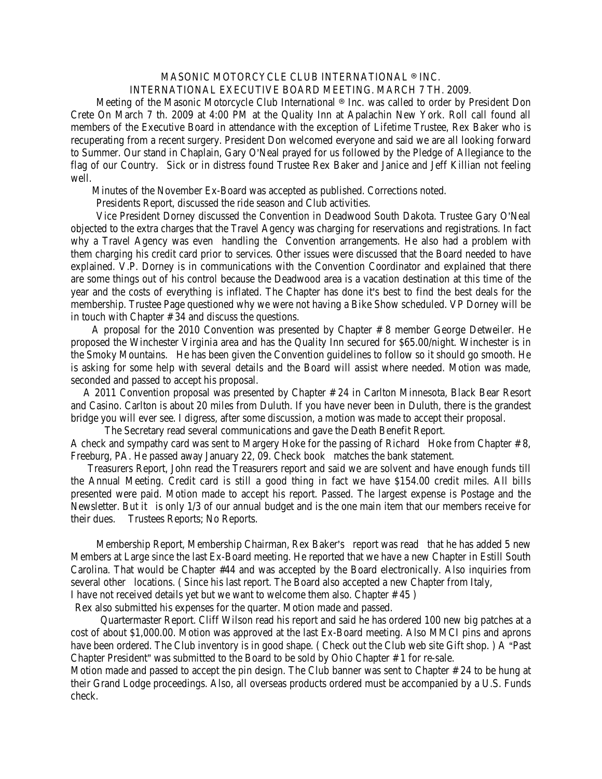## MASONIC MOTORCYCLE CLUB INTERNATIONAL ® INC. INTERNATIONAL EXECUTIVE BOARD MEETING. MARCH 7 TH. 2009.

Meeting of the Masonic Motorcycle Club International ® Inc. was called to order by President Don Crete On March 7 th. 2009 at 4:00 PM at the Quality Inn at Apalachin New York. Roll call found all members of the Executive Board in attendance with the exception of Lifetime Trustee, Rex Baker who is recuperating from a recent surgery. President Don welcomed everyone and said we are all looking forward to Summer. Our stand in Chaplain, Gary O'Neal prayed for us followed by the Pledge of Allegiance to the flag of our Country. Sick or in distress found Trustee Rex Baker and Janice and Jeff Killian not feeling well.

Minutes of the November Ex-Board was accepted as published. Corrections noted.

Presidents Report, discussed the ride season and Club activities.

Vice President Dorney discussed the Convention in Deadwood South Dakota. Trustee Gary O'Neal objected to the extra charges that the Travel Agency was charging for reservations and registrations. In fact why a Travel Agency was even handling the Convention arrangements. He also had a problem with them charging his credit card prior to services. Other issues were discussed that the Board needed to have explained. V.P. Dorney is in communications with the Convention Coordinator and explained that there are some things out of his control because the Deadwood area is a vacation destination at this time of the year and the costs of everything is inflated. The Chapter has done it's best to find the best deals for the membership. Trustee Page questioned why we were not having a Bike Show scheduled. VP Dorney will be in touch with Chapter # 34 and discuss the questions.

 A proposal for the 2010 Convention was presented by Chapter # 8 member George Detweiler. He proposed the Winchester Virginia area and has the Quality Inn secured for \$65.00/night. Winchester is in the Smoky Mountains. He has been given the Convention guidelines to follow so it should go smooth. He is asking for some help with several details and the Board will assist where needed. Motion was made, seconded and passed to accept his proposal.

 A 2011 Convention proposal was presented by Chapter # 24 in Carlton Minnesota, Black Bear Resort and Casino. Carlton is about 20 miles from Duluth. If you have never been in Duluth, there is the grandest bridge you will ever see. I digress, after some discussion, a motion was made to accept their proposal.

 The Secretary read several communications and gave the Death Benefit Report. A check and sympathy card was sent to Margery Hoke for the passing of Richard Hoke from Chapter # 8, Freeburg, PA. He passed away January 22, 09. Check book matches the bank statement.

 Treasurers Report, John read the Treasurers report and said we are solvent and have enough funds till the Annual Meeting. Credit card is still a good thing in fact we have \$154.00 credit miles. All bills presented were paid. Motion made to accept his report. Passed. The largest expense is Postage and the Newsletter. But it is only 1/3 of our annual budget and is the one main item that our members receive for their dues. Trustees Reports; No Reports.

Membership Report, Membership Chairman, Rex Baker's report was read that he has added 5 new Members at Large since the last Ex-Board meeting. He reported that we have a new Chapter in Estill South Carolina. That would be Chapter #44 and was accepted by the Board electronically. Also inquiries from several other locations. ( Since his last report. The Board also accepted a new Chapter from Italy, I have not received details yet but we want to welcome them also. Chapter # 45 )

Rex also submitted his expenses for the quarter. Motion made and passed.

 Quartermaster Report. Cliff Wilson read his report and said he has ordered 100 new big patches at a cost of about \$1,000.00. Motion was approved at the last Ex-Board meeting. Also MMCI pins and aprons have been ordered. The Club inventory is in good shape. (Check out the Club web site Gift shop.) A "Past Chapter President" was submitted to the Board to be sold by Ohio Chapter # 1 for re-sale.

Motion made and passed to accept the pin design. The Club banner was sent to Chapter # 24 to be hung at their Grand Lodge proceedings. Also, all overseas products ordered must be accompanied by a U.S. Funds check.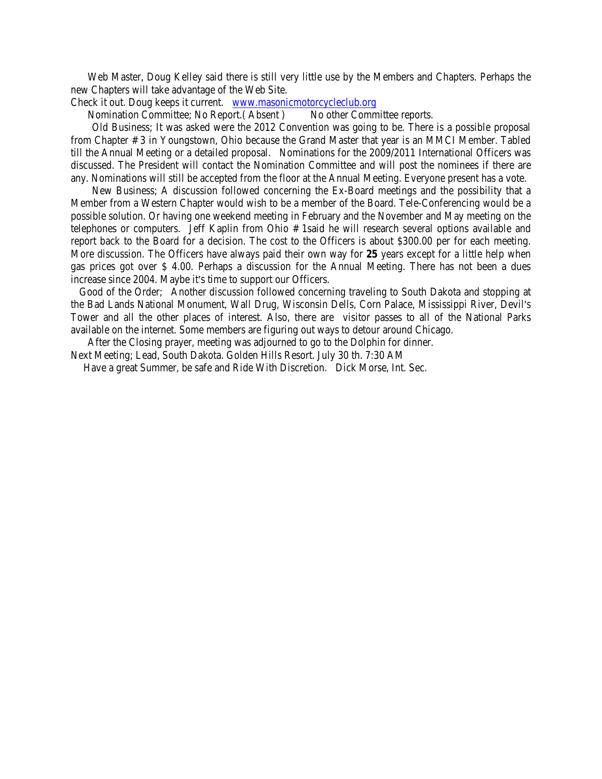Web Master, Doug Kelley said there is still very little use by the Members and Chapters. Perhaps the new Chapters will take advantage of the Web Site.

Check it out. Doug keeps it current. www.masonicmotorcycleclub.org

Nomination Committee; No Report.(Absent ) No other Committee reports.

 Old Business; It was asked were the 2012 Convention was going to be. There is a possible proposal from Chapter # 3 in Youngstown, Ohio because the Grand Master that year is an MMCI Member. Tabled till the Annual Meeting or a detailed proposal. Nominations for the 2009/2011 International Officers was discussed. The President will contact the Nomination Committee and will post the nominees if there are any. Nominations will still be accepted from the floor at the Annual Meeting. Everyone present has a vote.

 New Business; A discussion followed concerning the Ex-Board meetings and the possibility that a Member from a Western Chapter would wish to be a member of the Board. Tele-Conferencing would be a possible solution. Or having one weekend meeting in February and the November and May meeting on the telephones or computers. Jeff Kaplin from Ohio # 1said he will research several options available and report back to the Board for a decision. The cost to the Officers is about \$300.00 per for each meeting. More discussion. The Officers have always paid their own way for **25** years except for a little help when gas prices got over \$ 4.00. Perhaps a discussion for the Annual Meeting. There has not been a dues increase since 2004. Maybe it's time to support our Officers.

 Good of the Order; Another discussion followed concerning traveling to South Dakota and stopping at the Bad Lands National Monument, Wall Drug, Wisconsin Dells, Corn Palace, Mississippi River, Devil's Tower and all the other places of interest. Also, there are visitor passes to all of the National Parks available on the internet. Some members are figuring out ways to detour around Chicago.

After the Closing prayer, meeting was adjourned to go to the Dolphin for dinner.

Next Meeting; Lead, South Dakota. Golden Hills Resort. July 30 th. 7:30 AM

Have a great Summer, be safe and Ride With Discretion. Dick Morse, Int. Sec.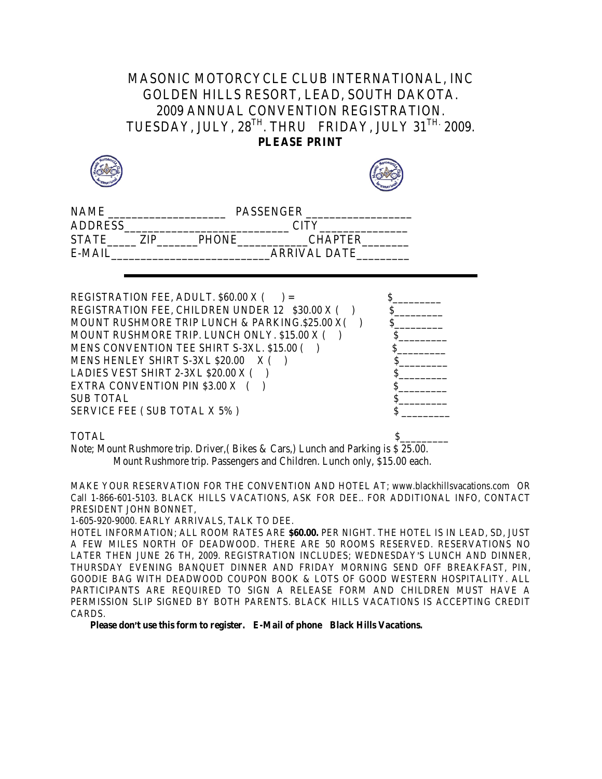## MASONIC MOTORCYCLE CLUB INTERNATIONAL, INC GOLDEN HILLS RESORT, LEAD, SOUTH DAKOTA. 2009 ANNUAL CONVENTION REGISTRATION. TUESDAY, JULY, 28<sup>TH</sup>. THRU FRIDAY, JULY 31<sup>TH.</sup> 2009. **PLEASE PRINT**





| <b>NAME</b>    |     |              | <b>PASSENGER</b> |  |
|----------------|-----|--------------|------------------|--|
| <b>ADDRESS</b> |     |              | <b>CITY</b>      |  |
| <b>STATE</b>   | ZIP | <b>PHONE</b> | <b>CHAPTER</b>   |  |
| $E-MAH$        |     |              | ARRIVAL DATE     |  |
|                |     |              |                  |  |

| REGISTRATION FEE, ADULT. \$60.00 X (            |  |
|-------------------------------------------------|--|
| REGISTRATION FEE, CHILDREN UNDER 12 \$30.00 X ( |  |
| MOUNT RUSHMORE TRIP LUNCH & PARKING.\$25.00 X(  |  |
| MOUNT RUSHMORE TRIP. LUNCH ONLY. \$15.00 X (    |  |
| MENS CONVENTION TEE SHIRT S-3XL. \$15.00 (      |  |
| MENS HENLEY SHIRT S-3XL \$20.00<br>X(           |  |
| LADIES VEST SHIRT 2-3XL \$20.00 X (             |  |
| EXTRA CONVENTION PIN \$3.00 X (                 |  |
| <b>SUB TOTAL</b>                                |  |
| SERVICE FEE (SUB TOTAL X 5%)                    |  |
|                                                 |  |

TOTAL  $\qquad \qquad \text{S}$ 

Note; Mount Rushmore trip. Driver,( Bikes & Cars,) Lunch and Parking is \$ 25.00. Mount Rushmore trip. Passengers and Children. Lunch only, \$15.00 each.

MAKE YOUR RESERVATION FOR THE CONVENTION AND HOTEL AT; www.blackhillsvacations.com OR Call 1-866-601-5103. BLACK HILLS VACATIONS, ASK FOR DEE.. FOR ADDITIONAL INFO, CONTACT PRESIDENT JOHN BONNET,

1-605-920-9000. EARLY ARRIVALS, TALK TO DEE.

HOTEL INFORMATION; ALL ROOM RATES ARE **\$60.00.** PER NIGHT. THE HOTEL IS IN LEAD, SD, JUST A FEW MILES NORTH OF DEADWOOD. THERE ARE 50 ROOMS RESERVED. RESERVATIONS NO LATER THEN JUNE 26 TH, 2009. REGISTRATION INCLUDES; WEDNESDAY'S LUNCH AND DINNER, THURSDAY EVENING BANQUET DINNER AND FRIDAY MORNING SEND OFF BREAKFAST, PIN, GOODIE BAG WITH DEADWOOD COUPON BOOK & LOTS OF GOOD WESTERN HOSPITALITY. ALL PARTICIPANTS ARE REQUIRED TO SIGN A RELEASE FORM AND CHILDREN MUST HAVE A PERMISSION SLIP SIGNED BY BOTH PARENTS. BLACK HILLS VACATIONS IS ACCEPTING CREDIT CARDS.

**Please don't use this form to register.** E-Mail of phone Black Hills Vacations.